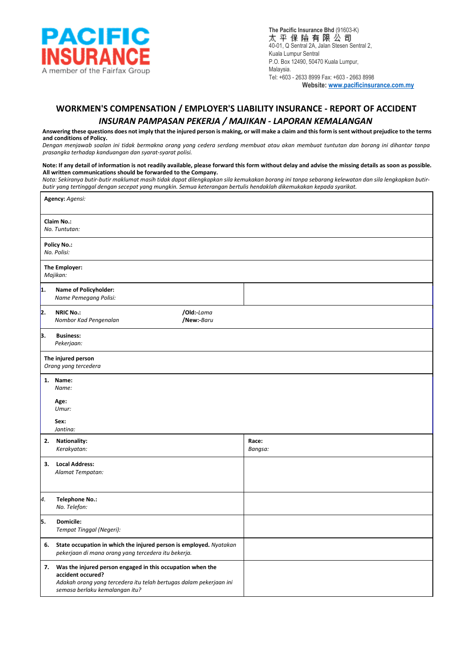

太平保險有限公司<br>40-01, Q Sentral 2A, Jalan Stesen Sentral 2,<br>Kuala Lumpur Sentral P.O. Box 12490, 50470 Kuala Lumpur, Tel: +603 - 2633 8999 Fax: +603 - 2663 8998  **Website: www.pacificinsurance.com.my**

# **WORKMEN'S COMPENSATION / EMPLOYER'S LIABILITY INSURANCE - REPORT OF ACCIDENT**

## *INSURAN PAMPASAN PEKERJA / MAJIKAN - LAPORAN KEMALANGAN*

**Answering these questions does not imply that the injured person is making, or will make a claim and this form is sent without prejudice to the terms and conditions of Policy.**

*Dengan menjawab soalan ini tidak bermakna orang yang cedera serdang membuat atau akan membuat tuntutan dan borang ini dihantar tanpa prasangka terhadap kanduangan dan syarat-syarat polisi.*

### **Note: If any detail of information is not readily available, please forward this form without delay and advise the missing details as soon as possible. All written communications should be forwarded to the Company.**

*Nota: Sekiranya butir-butir maklumat masih tidak dapat dilengkapkan sila kemukakan borang ini tanpa sebarang kelewatan dan sila lengkapkan butirbutir yang tertinggal dengan secepat yang mungkin. Semua keterangan bertulis hendaklah dikemukakan kepada syarikat.* 

| Agency: Agensi: |                                                                                                                                                                                            |                  |  |  |  |  |  |
|-----------------|--------------------------------------------------------------------------------------------------------------------------------------------------------------------------------------------|------------------|--|--|--|--|--|
|                 | Claim No.:<br>No. Tuntutan:                                                                                                                                                                |                  |  |  |  |  |  |
|                 | <b>Policy No.:</b><br>No. Polisi:                                                                                                                                                          |                  |  |  |  |  |  |
|                 | The Employer:<br>Majikan:                                                                                                                                                                  |                  |  |  |  |  |  |
| 1.              | Name of Policyholder:<br>Name Pemegang Polisi:                                                                                                                                             |                  |  |  |  |  |  |
| 2.              | /Old:-Lama<br><b>NRIC No.:</b><br>Nombor Kad Pengenalan<br>/New:-Baru                                                                                                                      |                  |  |  |  |  |  |
| 3.              | <b>Business:</b><br>Pekerjaan:                                                                                                                                                             |                  |  |  |  |  |  |
|                 | The injured person<br>Orang yang tercedera                                                                                                                                                 |                  |  |  |  |  |  |
|                 | 1. Name:<br>Name:                                                                                                                                                                          |                  |  |  |  |  |  |
|                 | Age:<br>Umur:                                                                                                                                                                              |                  |  |  |  |  |  |
|                 | Sex:<br>Jantina:                                                                                                                                                                           |                  |  |  |  |  |  |
|                 | 2. Nationality:<br>Kerakyatan:                                                                                                                                                             | Race:<br>Bangsa: |  |  |  |  |  |
|                 | 3. Local Address:<br>Alamat Tempatan:                                                                                                                                                      |                  |  |  |  |  |  |
| 4.              | <b>Telephone No.:</b><br>No. Telefon:                                                                                                                                                      |                  |  |  |  |  |  |
| 5.              | Domicile:<br>Tempat Tinggal (Negeri):                                                                                                                                                      |                  |  |  |  |  |  |
| 6.              | State occupation in which the injured person is employed. Nyatakan<br>pekerjaan di mana orang yang tercedera itu bekerja.                                                                  |                  |  |  |  |  |  |
|                 | 7. Was the injured person engaged in this occupation when the<br>accident occured?<br>Adakah orang yang tercedera itu telah bertugas dalam pekerjaan ini<br>semasa berlaku kemalangan itu? |                  |  |  |  |  |  |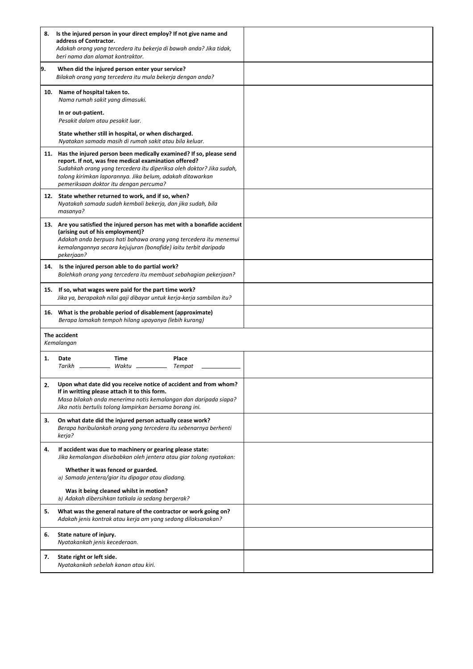| 8. | Is the injured person in your direct employ? If not give name and<br>address of Contractor.<br>Adakah orang yang tercedera itu bekerja di bawah anda? Jika tidak,<br>beri nama dan alamat kontraktor.                                                                                                          |  |
|----|----------------------------------------------------------------------------------------------------------------------------------------------------------------------------------------------------------------------------------------------------------------------------------------------------------------|--|
| 9. | When did the injured person enter your service?<br>Bilakah orang yang tercedera itu mula bekerja dengan anda?                                                                                                                                                                                                  |  |
|    | 10. Name of hospital taken to.<br>Nama rumah sakit yang dimasuki.                                                                                                                                                                                                                                              |  |
|    | In or out-patient.<br>Pesakit dalam atau pesakit luar.                                                                                                                                                                                                                                                         |  |
|    | State whether still in hospital, or when discharged.<br>Nyatakan samada masih di rumah sakit atau bila keluar.                                                                                                                                                                                                 |  |
|    | 11. Has the injured person been medically examined? If so, please send<br>report. If not, was free medical examination offered?<br>Sudahkah orang yang tercedera itu diperiksa oleh doktor? Jika sudah,<br>tolong kirimkan laporannya. Jika belum, adakah ditawarkan<br>pemeriksaan doktor itu dengan percuma? |  |
|    | 12. State whether returned to work, and if so, when?<br>Nyatakah samada sudah kembali bekerja, dan jika sudah, bila<br>masanya?                                                                                                                                                                                |  |
|    | 13. Are you satisfied the injured person has met with a bonafide accident<br>(arising out of his employment)?<br>Adakah anda berpuas hati bahawa orang yang tercedera itu menemui<br>kemalangannya secara kejujuran (bonafide) iaitu terbit daripada<br>pekerjaan?                                             |  |
|    | 14. Is the injured person able to do partial work?<br>Bolehkah orang yang tercedera itu membuat sebahagian pekerjaan?                                                                                                                                                                                          |  |
|    | 15. If so, what wages were paid for the part time work?<br>Jika ya, berapakah nilai gaji dibayar untuk kerja-kerja sambilan itu?                                                                                                                                                                               |  |
|    | 16. What is the probable period of disablement (approximate)<br>Berapa lamakah tempoh hilang upayanya (lebih kurang)                                                                                                                                                                                           |  |
|    | The accident<br>Kemalangan                                                                                                                                                                                                                                                                                     |  |
| 1. | <b>Date</b><br>Place<br>Time<br>_ Waktu ___<br><b>Tempat</b><br>Tarikh —                                                                                                                                                                                                                                       |  |
| 2. | Upon what date did you receive notice of accident and from whom?<br>If in writting please attach it to this form.<br>Masa bilakah anda menerima notis kemalangan dan daripada siapa?<br>Jika notis bertulis tolong lampirkan bersama borang ini.                                                               |  |
| З. | On what date did the injured person actually cease work?<br>Berapa haribulankah orang yang tercedera itu sebenarnya berhenti<br>kerja?                                                                                                                                                                         |  |
| 4. | If accident was due to machinery or gearing please state:<br>Jika kemalangan disebabkan oleh jentera atau giar tolong nyatakan:                                                                                                                                                                                |  |
|    | Whether it was fenced or guarded.<br>a) Samada jentera/giar itu dipagar atau diadang.                                                                                                                                                                                                                          |  |
|    | Was it being cleaned whilst in motion?<br>b) Adakah dibersihkan tatkala ia sedang bergerak?                                                                                                                                                                                                                    |  |
| 5. | What was the general nature of the contractor or work going on?<br>Adakah jenis kontrak atau kerja am yang sedang dilaksanakan?                                                                                                                                                                                |  |
| 6. | State nature of injury.<br>Nyatakankah jenis kecederaan.                                                                                                                                                                                                                                                       |  |
| 7. | State right or left side.<br>Nyatakankah sebelah kanan atau kiri.                                                                                                                                                                                                                                              |  |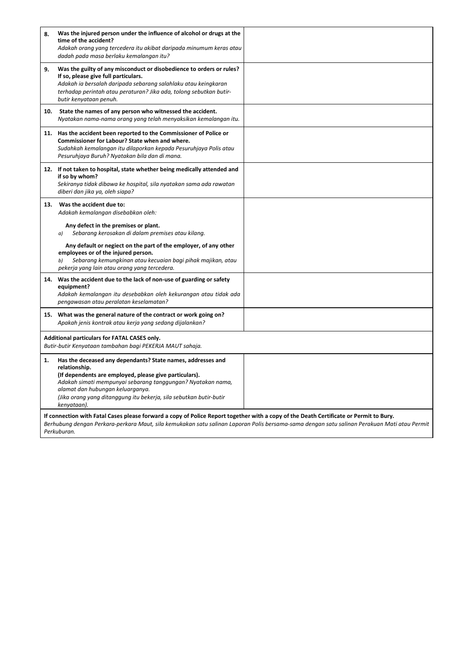| 8. | Was the injured person under the influence of alcohol or drugs at the<br>time of the accident?<br>Adakah orang yang tercedera itu akibat daripada minumum keras atau<br>dadah pada masa berlaku kemalangan itu?                                                                                                                                                                                                                                                          |  |
|----|--------------------------------------------------------------------------------------------------------------------------------------------------------------------------------------------------------------------------------------------------------------------------------------------------------------------------------------------------------------------------------------------------------------------------------------------------------------------------|--|
| 9. | Was the guilty of any misconduct or disobedience to orders or rules?<br>If so, please give full particulars.<br>Adakah ia bersalah daripada sebarang salahlaku atau keingkaran<br>terhadap perintah atau peraturan? Jika ada, tolong sebutkan butir-<br>butir kenyataan penuh.                                                                                                                                                                                           |  |
|    | 10. State the names of any person who witnessed the accident.<br>Nyatakan nama-nama orang yang telah menyaksikan kemalangan itu.                                                                                                                                                                                                                                                                                                                                         |  |
|    | 11. Has the accident been reported to the Commissioner of Police or<br>Commissioner for Labour? State when and where.<br>Sudahkah kemalangan itu dilaporkan kepada Pesuruhjaya Polis atau<br>Pesuruhjaya Buruh? Nyatakan bila dan di mana.                                                                                                                                                                                                                               |  |
|    | 12. If not taken to hospital, state whether being medically attended and<br>if so by whom?<br>Sekiranya tidak dibawa ke hospital, sila nyatakan sama ada rawatan<br>diberi dan jika ya, oleh siapa?                                                                                                                                                                                                                                                                      |  |
|    | 13. Was the accident due to:<br>Adakah kemalangan disebabkan oleh:                                                                                                                                                                                                                                                                                                                                                                                                       |  |
|    | Any defect in the premises or plant.<br>Sebarang kerosakan di dalam premises atau kilang.<br>a)                                                                                                                                                                                                                                                                                                                                                                          |  |
|    | Any default or negiect on the part of the employer, of any other<br>employees or of the injured person.<br>Sebarang kemungkinan atau kecuaian bagi pihak majikan, atau<br>b)<br>pekerja yang lain atau orang yang tercedera.                                                                                                                                                                                                                                             |  |
|    | 14. Was the accident due to the lack of non-use of guarding or safety<br>equipment?<br>Adakah kemalangan itu desebabkan oleh kekurangan atau tidak ada<br>pengawasan atau peralatan keselamatan?                                                                                                                                                                                                                                                                         |  |
|    | 15. What was the general nature of the contract or work going on?<br>Apakah jenis kontrak atau kerja yang sedang dijalankan?                                                                                                                                                                                                                                                                                                                                             |  |
|    | Additional particulars for FATAL CASES only.<br>Butir-butir Kenyataan tambahan bagi PEKERJA MAUT sahaja.                                                                                                                                                                                                                                                                                                                                                                 |  |
| 1. | Has the deceased any dependants? State names, addresses and<br>relationship.<br>(If dependents are employed, please give particulars).<br>Adakah simati mempunyai sebarang tanggungan? Nyatakan nama,<br>alamat dan hubungan keluarganya.<br>(Jika orang yang ditanggung itu bekerja, sila sebutkan butir-butir<br>kenyataan).<br>If connection with Fatal Cases please forward a copy of Police Report together with a copy of the Death Certificate or Permit to Bury. |  |
|    |                                                                                                                                                                                                                                                                                                                                                                                                                                                                          |  |

*Berhubung dengan Perkara-perkara Maut, sila kemukakan satu salinan Laporan Polis bersama-sama dengan satu salinan Perakuan Mati atau Permit Perkuburan.*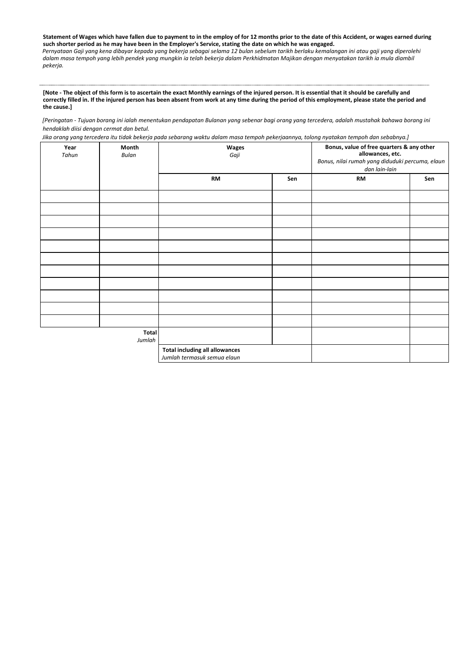### **Statement of Wages which have fallen due to payment to in the employ of for 12 months prior to the date of this Accident, or wages earned during such shorter period as he may have been in the Employer's Service, stating the date on which he was engaged.**

*Pernyataan Gaji yang kena dibayar kepada yang bekerja sebagai selama 12 bulan sebelum tarikh berlaku kemalangan ini atau gaji yang diperolehi dalam masa tempoh yang lebih pendek yang mungkin ia telah bekerja dalam Perkhidmatan Majikan dengan menyatakan tarikh ia mula diambil pekerja.*

### **[Note - The object of this form is to ascertain the exact Monthly earnings of the injured person. It is essential that it should be carefully and correctly filled in. If the injured person has been absent from work at any time during the period of this employment, please state the period and the cause.]**

*[Peringatan - Tujuan borang ini ialah menentukan pendapatan Bulanan yang sebenar bagi orang yang tercedera, adalah mustahak bahawa borang ini hendaklah diisi dengan cermat dan betul.* 

*Jika orang yang tercedera itu tidak bekerja pada sebarang waktu dalam masa tempoh pekerjaannya, tolong nyatakan tempoh dan sebabnya.]*

| Year<br>Tahun | Month<br>Bulan  | Wages<br>Gaji                                                        |     | Bonus, value of free quarters & any other<br>allowances, etc.<br>Bonus, nilai rumah yang diduduki percuma, elaun<br>dan lain-lain |     |
|---------------|-----------------|----------------------------------------------------------------------|-----|-----------------------------------------------------------------------------------------------------------------------------------|-----|
|               |                 | <b>RM</b>                                                            | Sen | <b>RM</b>                                                                                                                         | Sen |
|               |                 |                                                                      |     |                                                                                                                                   |     |
|               |                 |                                                                      |     |                                                                                                                                   |     |
|               |                 |                                                                      |     |                                                                                                                                   |     |
|               |                 |                                                                      |     |                                                                                                                                   |     |
|               |                 |                                                                      |     |                                                                                                                                   |     |
|               |                 |                                                                      |     |                                                                                                                                   |     |
|               |                 |                                                                      |     |                                                                                                                                   |     |
|               |                 |                                                                      |     |                                                                                                                                   |     |
|               |                 |                                                                      |     |                                                                                                                                   |     |
|               |                 |                                                                      |     |                                                                                                                                   |     |
|               |                 |                                                                      |     |                                                                                                                                   |     |
|               | Total<br>Jumlah |                                                                      |     |                                                                                                                                   |     |
|               |                 | <b>Total including all allowances</b><br>Jumlah termasuk semua elaun |     |                                                                                                                                   |     |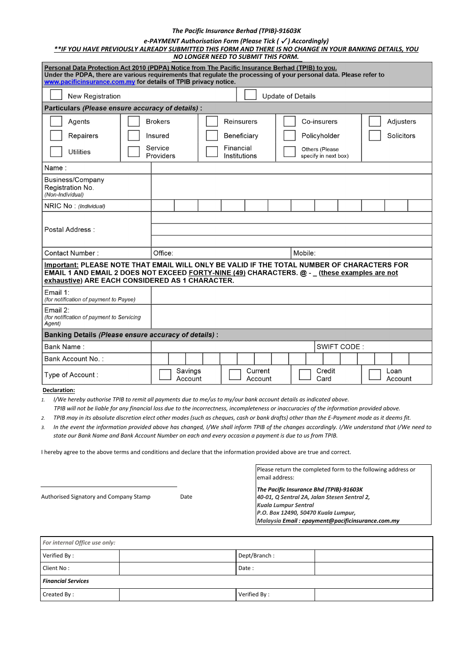## *The Pacific Insurance Berhad (TPIB)-91603K*

### *e-PAYMENT Authorisation Form (Please Tick (* ✔ *) Accordingly)*

| **IF YOU HAVE PREVIOUSLY ALREADY SUBMITTED THIS FORM AND THERE IS NO CHANGE IN YOUR BANKING DETAILS, YOU |  |  |  |  |  |
|----------------------------------------------------------------------------------------------------------|--|--|--|--|--|
| NO LONGER NEED TO SUBMIT THIS FORM.                                                                      |  |  |  |  |  |

|                                                                                                                                                                                                                                                                                                                                                                                                                                                                                                                                                                                                                                                                                                                                                                                                                                        |                                                                                                                                                                                                                                                                                                       |                                          | <u>NU LUNGEN INEED TU SUDIVIIT THIS FUNIVI</u> |                           |                                   |                                        |            |
|----------------------------------------------------------------------------------------------------------------------------------------------------------------------------------------------------------------------------------------------------------------------------------------------------------------------------------------------------------------------------------------------------------------------------------------------------------------------------------------------------------------------------------------------------------------------------------------------------------------------------------------------------------------------------------------------------------------------------------------------------------------------------------------------------------------------------------------|-------------------------------------------------------------------------------------------------------------------------------------------------------------------------------------------------------------------------------------------------------------------------------------------------------|------------------------------------------|------------------------------------------------|---------------------------|-----------------------------------|----------------------------------------|------------|
| Personal Data Protection Act 2010 (PDPA) Notice from The Pacific Insurance Berhad (TPIB) to you.<br>Under the PDPA, there are various requirements that regulate the processing of your personal data. Please refer to<br>www.pacificinsurance.com.my for details of TPIB privacy notice.                                                                                                                                                                                                                                                                                                                                                                                                                                                                                                                                              |                                                                                                                                                                                                                                                                                                       |                                          |                                                |                           |                                   |                                        |            |
| New Registration                                                                                                                                                                                                                                                                                                                                                                                                                                                                                                                                                                                                                                                                                                                                                                                                                       |                                                                                                                                                                                                                                                                                                       | <b>Update of Details</b>                 |                                                |                           |                                   |                                        |            |
| Particulars (Please ensure accuracy of details) :                                                                                                                                                                                                                                                                                                                                                                                                                                                                                                                                                                                                                                                                                                                                                                                      |                                                                                                                                                                                                                                                                                                       |                                          |                                                |                           |                                   |                                        |            |
| Agents                                                                                                                                                                                                                                                                                                                                                                                                                                                                                                                                                                                                                                                                                                                                                                                                                                 |                                                                                                                                                                                                                                                                                                       | <b>Brokers</b>                           |                                                | <b>Reinsurers</b>         |                                   | Co-insurers                            | Adjusters  |
| Repairers                                                                                                                                                                                                                                                                                                                                                                                                                                                                                                                                                                                                                                                                                                                                                                                                                              |                                                                                                                                                                                                                                                                                                       | Insured                                  |                                                | Beneficiary               |                                   | Policyholder                           | Solicitors |
| <b>Utilities</b>                                                                                                                                                                                                                                                                                                                                                                                                                                                                                                                                                                                                                                                                                                                                                                                                                       |                                                                                                                                                                                                                                                                                                       | Service<br>Providers                     |                                                | Financial<br>Institutions |                                   | Others (Please<br>specify in next box) |            |
| Name :                                                                                                                                                                                                                                                                                                                                                                                                                                                                                                                                                                                                                                                                                                                                                                                                                                 |                                                                                                                                                                                                                                                                                                       |                                          |                                                |                           |                                   |                                        |            |
| Business/Company<br>Registration No.<br>(Non-Individual)                                                                                                                                                                                                                                                                                                                                                                                                                                                                                                                                                                                                                                                                                                                                                                               |                                                                                                                                                                                                                                                                                                       |                                          |                                                |                           |                                   |                                        |            |
| NRIC No: (Individual)                                                                                                                                                                                                                                                                                                                                                                                                                                                                                                                                                                                                                                                                                                                                                                                                                  |                                                                                                                                                                                                                                                                                                       |                                          |                                                |                           |                                   |                                        |            |
| Postal Address:                                                                                                                                                                                                                                                                                                                                                                                                                                                                                                                                                                                                                                                                                                                                                                                                                        |                                                                                                                                                                                                                                                                                                       |                                          |                                                |                           |                                   |                                        |            |
| Contact Number :                                                                                                                                                                                                                                                                                                                                                                                                                                                                                                                                                                                                                                                                                                                                                                                                                       |                                                                                                                                                                                                                                                                                                       | Office:                                  |                                                |                           | Mobile:                           |                                        |            |
| Important: PLEASE NOTE THAT EMAIL WILL ONLY BE VALID IF THE TOTAL NUMBER OF CHARACTERS FOR<br>EMAIL 1 AND EMAIL 2 DOES NOT EXCEED FORTY-NINE (49) CHARACTERS. @ - (these examples are not<br>exhaustive) ARE EACH CONSIDERED AS 1 CHARACTER.                                                                                                                                                                                                                                                                                                                                                                                                                                                                                                                                                                                           |                                                                                                                                                                                                                                                                                                       |                                          |                                                |                           |                                   |                                        |            |
| Email 1:<br>(for notification of payment to Payee)                                                                                                                                                                                                                                                                                                                                                                                                                                                                                                                                                                                                                                                                                                                                                                                     |                                                                                                                                                                                                                                                                                                       |                                          |                                                |                           |                                   |                                        |            |
| Email 2:<br>(for notification of payment to Servicing<br>Agent)                                                                                                                                                                                                                                                                                                                                                                                                                                                                                                                                                                                                                                                                                                                                                                        |                                                                                                                                                                                                                                                                                                       |                                          |                                                |                           |                                   |                                        |            |
| <b>Banking Details (Please ensure accuracy of details):</b>                                                                                                                                                                                                                                                                                                                                                                                                                                                                                                                                                                                                                                                                                                                                                                            |                                                                                                                                                                                                                                                                                                       |                                          |                                                |                           |                                   |                                        |            |
| Bank Name:                                                                                                                                                                                                                                                                                                                                                                                                                                                                                                                                                                                                                                                                                                                                                                                                                             |                                                                                                                                                                                                                                                                                                       |                                          |                                                |                           |                                   | SWIFT CODE:                            |            |
| Bank Account No.:                                                                                                                                                                                                                                                                                                                                                                                                                                                                                                                                                                                                                                                                                                                                                                                                                      |                                                                                                                                                                                                                                                                                                       |                                          |                                                |                           |                                   |                                        |            |
| Type of Account:                                                                                                                                                                                                                                                                                                                                                                                                                                                                                                                                                                                                                                                                                                                                                                                                                       |                                                                                                                                                                                                                                                                                                       | Savings<br>Current<br>Account<br>Account |                                                |                           | Credit<br>Loan<br>Card<br>Account |                                        |            |
| Declaration:<br>I/We hereby authorise TPIB to remit all payments due to me/us to my/our bank account details as indicated above.<br>1.<br>TPIB will not be liable for any financial loss due to the incorrectness, incompleteness or inaccuracies of the information provided above.<br>TPIB may in its absolute discretion elect other modes (such as cheques, cash or bank drafts) other than the E-Payment mode as it deems fit.<br>2.<br>In the event the information provided above has changed, I/We shall inform TPIB of the changes accordingly. I/We understand that I/We need to<br>3.<br>state our Bank Name and Bank Account Number on each and every occasion a payment is due to us from TPIB.<br>I hereby agree to the above terms and conditions and declare that the information provided above are true and correct. |                                                                                                                                                                                                                                                                                                       |                                          |                                                |                           |                                   |                                        |            |
| Authorised Signatory and Company Stamp                                                                                                                                                                                                                                                                                                                                                                                                                                                                                                                                                                                                                                                                                                                                                                                                 | Please return the completed form to the following address or<br>email address:<br>The Pacific Insurance Bhd (TPIB)-91603K<br>Date<br>40-01, Q Sentral 2A, Jalan Stesen Sentral 2,<br>Kuala Lumpur Sentral<br>P.O. Box 12490, 50470 Kuala Lumpur,<br>Malaysia Email : epayment@pacificinsurance.com.my |                                          |                                                |                           |                                   |                                        |            |
| For internal Office use only:                                                                                                                                                                                                                                                                                                                                                                                                                                                                                                                                                                                                                                                                                                                                                                                                          |                                                                                                                                                                                                                                                                                                       |                                          |                                                |                           |                                   |                                        |            |
| Verified By:                                                                                                                                                                                                                                                                                                                                                                                                                                                                                                                                                                                                                                                                                                                                                                                                                           |                                                                                                                                                                                                                                                                                                       |                                          | Dept/Branch:                                   |                           |                                   |                                        |            |
|                                                                                                                                                                                                                                                                                                                                                                                                                                                                                                                                                                                                                                                                                                                                                                                                                                        |                                                                                                                                                                                                                                                                                                       |                                          |                                                |                           |                                   |                                        |            |

| Client No:                |  | Date:        |  |  |  |
|---------------------------|--|--------------|--|--|--|
| <b>Financial Services</b> |  |              |  |  |  |
| Created By:               |  | Verified By: |  |  |  |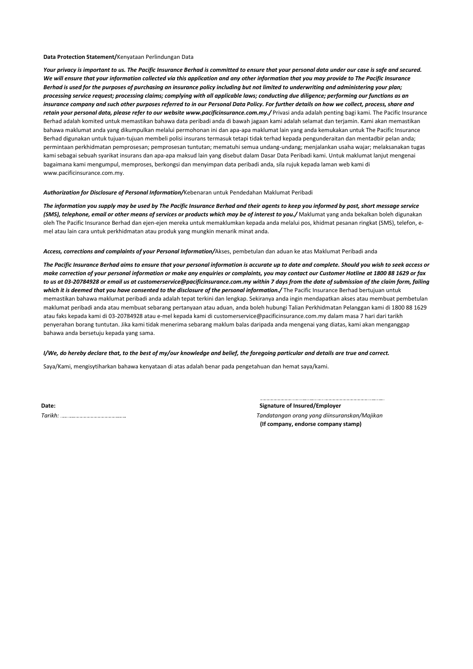#### **Data Protection Statement/**Kenyataan Perlindungan Data

*Your privacy is important to us. The Pacific Insurance Berhad is committed to ensure that your personal data under our case is safe and secured. We will ensure that your information collected via this application and any other information that you may provide to The Pacific Insurance Berhad is used for the purposes of purchasing an insurance policy including but not limited to underwriting and administering your plan; processing service request; processing claims; complying with all applicable laws; conducting due diligence; performing our functions as an insurance company and such other purposes referred to in our Personal Data Policy. For further details on how we collect, process, share and retain your personal data, please refer to our website www.pacificinsurance.com.my./* Privasi anda adalah penting bagi kami. The Pacific Insurance Berhad adalah komited untuk memastikan bahawa data peribadi anda di bawah jagaan kami adalah selamat dan terjamin. Kami akan memastikan bahawa maklumat anda yang dikumpulkan melalui permohonan ini dan apa-apa maklumat lain yang anda kemukakan untuk The Pacific Insurance Berhad digunakan untuk tujuan-tujuan membeli polisi insurans termasuk tetapi tidak terhad kepada pengunderaitan dan mentadbir pelan anda; permintaan perkhidmatan pemprosesan; pemprosesan tuntutan; mematuhi semua undang-undang; menjalankan usaha wajar; melaksanakan tugas kami sebagai sebuah syarikat insurans dan apa-apa maksud lain yang disebut dalam Dasar Data Peribadi kami. Untuk maklumat lanjut mengenai bagaimana kami mengumpul, memproses, berkongsi dan menyimpan data peribadi anda, sila rujuk kepada laman web kami di www.pacificinsurance.com.my.

#### *Authorization for Disclosure of Personal Information/*Kebenaran untuk Pendedahan Maklumat Peribadi

*The information you supply may be used by The Pacific Insurance Berhad and their agents to keep you informed by post, short message service (SMS), telephone, email or other means of services or products which may be of interest to you./* Maklumat yang anda bekalkan boleh digunakan oleh The Pacific Insurance Berhad dan ejen-ejen mereka untuk memaklumkan kepada anda melalui pos, khidmat pesanan ringkat (SMS), telefon, emel atau lain cara untuk perkhidmatan atau produk yang mungkin menarik minat anda.

#### *Access, corrections and complaints of your Personal Information/*Akses, pembetulan dan aduan ke atas Maklumat Peribadi anda

*The Pacific Insurance Berhad aims to ensure that your personal information is accurate up to date and complete. Should you wish to seek access or make correction of your personal information or make any enquiries or complaints, you may contact our Customer Hotline at 1800 88 1629 or fax to us at 03-20784928 or email us at customerservice@pacificinsurance.com.my within 7 days from the date of submission of the claim form, failing which it is deemed that you have consented to the disclosure of the personal information./* The Pacific Insurance Berhad bertujuan untuk memastikan bahawa maklumat peribadi anda adalah tepat terkini dan lengkap. Sekiranya anda ingin mendapatkan akses atau membuat pembetulan maklumat peribadi anda atau membuat sebarang pertanyaan atau aduan, anda boleh hubungi Talian Perkhidmatan Pelanggan kami di 1800 88 1629 atau faks kepada kami di 03-20784928 atau e-mel kepada kami di customerservice@pacificinsurance.com.my dalam masa 7 hari dari tarikh penyerahan borang tuntutan. Jika kami tidak menerima sebarang maklum balas daripada anda mengenai yang diatas, kami akan menganggap bahawa anda bersetuju kepada yang sama.

### *I/We, do hereby declare that, to the best of my/our knowledge and belief, the foregoing particular and details are true and correct.*

Saya/Kami, mengisytiharkan bahawa kenyataan di atas adalah benar pada pengetahuan dan hemat saya/kami.

**Date:** Signature of Insured/Employer *Tarikh: Tandatangan orang yang diinsuranskan/Majikan* **(If company, endorse company stamp)**